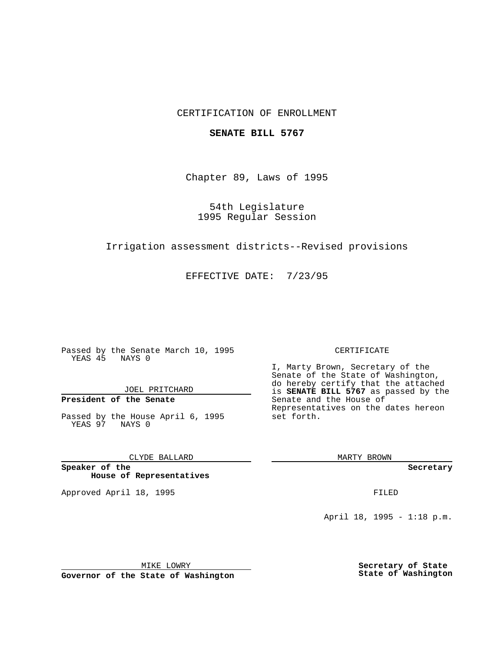## CERTIFICATION OF ENROLLMENT

### **SENATE BILL 5767**

Chapter 89, Laws of 1995

54th Legislature 1995 Regular Session

Irrigation assessment districts--Revised provisions

EFFECTIVE DATE: 7/23/95

Passed by the Senate March 10, 1995 YEAS 45 NAYS 0

JOEL PRITCHARD

# **President of the Senate**

Passed by the House April 6, 1995 YEAS 97 NAYS 0

CLYDE BALLARD

**Speaker of the House of Representatives**

Approved April 18, 1995 FILED

#### CERTIFICATE

I, Marty Brown, Secretary of the Senate of the State of Washington, do hereby certify that the attached is **SENATE BILL 5767** as passed by the Senate and the House of Representatives on the dates hereon set forth.

MARTY BROWN

**Secretary**

April 18, 1995 - 1:18 p.m.

MIKE LOWRY

**Governor of the State of Washington**

**Secretary of State State of Washington**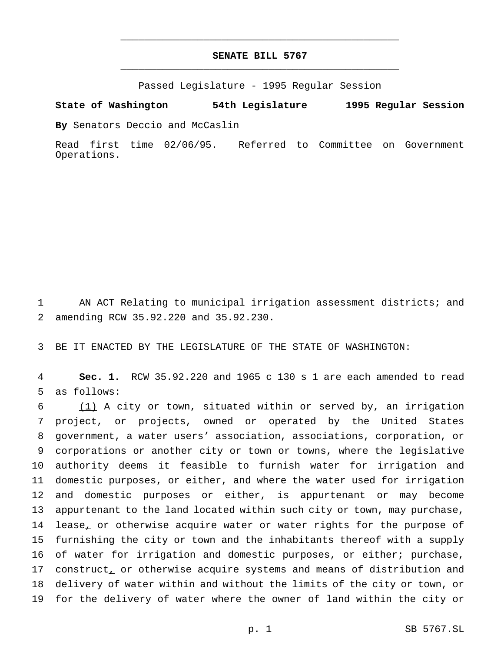## **SENATE BILL 5767** \_\_\_\_\_\_\_\_\_\_\_\_\_\_\_\_\_\_\_\_\_\_\_\_\_\_\_\_\_\_\_\_\_\_\_\_\_\_\_\_\_\_\_\_\_\_\_

\_\_\_\_\_\_\_\_\_\_\_\_\_\_\_\_\_\_\_\_\_\_\_\_\_\_\_\_\_\_\_\_\_\_\_\_\_\_\_\_\_\_\_\_\_\_\_

Passed Legislature - 1995 Regular Session

**State of Washington 54th Legislature 1995 Regular Session**

**By** Senators Deccio and McCaslin

Read first time 02/06/95. Referred to Committee on Government Operations.

1 AN ACT Relating to municipal irrigation assessment districts; and 2 amending RCW 35.92.220 and 35.92.230.

3 BE IT ENACTED BY THE LEGISLATURE OF THE STATE OF WASHINGTON:

4 **Sec. 1.** RCW 35.92.220 and 1965 c 130 s 1 are each amended to read 5 as follows:

 (1) A city or town, situated within or served by, an irrigation project, or projects, owned or operated by the United States government, a water users' association, associations, corporation, or corporations or another city or town or towns, where the legislative authority deems it feasible to furnish water for irrigation and domestic purposes, or either, and where the water used for irrigation and domestic purposes or either, is appurtenant or may become appurtenant to the land located within such city or town, may purchase, 14 lease, or otherwise acquire water or water rights for the purpose of furnishing the city or town and the inhabitants thereof with a supply of water for irrigation and domestic purposes, or either; purchase, 17 construct, or otherwise acquire systems and means of distribution and delivery of water within and without the limits of the city or town, or for the delivery of water where the owner of land within the city or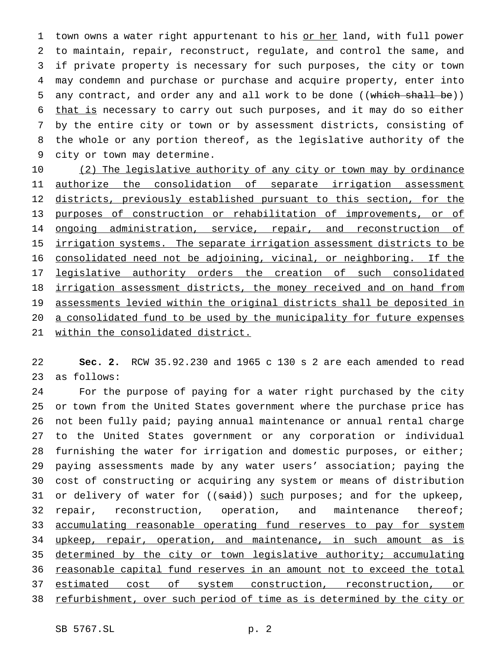1 town owns a water right appurtenant to his or her land, with full power to maintain, repair, reconstruct, regulate, and control the same, and if private property is necessary for such purposes, the city or town may condemn and purchase or purchase and acquire property, enter into 5 any contract, and order any and all work to be done ((which shall be)) 6 that is necessary to carry out such purposes, and it may do so either by the entire city or town or by assessment districts, consisting of the whole or any portion thereof, as the legislative authority of the city or town may determine.

10 (2) The legislative authority of any city or town may by ordinance 11 authorize the consolidation of separate irrigation assessment 12 districts, previously established pursuant to this section, for the 13 purposes of construction or rehabilitation of improvements, or of 14 ongoing administration, service, repair, and reconstruction of 15 irrigation systems. The separate irrigation assessment districts to be 16 consolidated need not be adjoining, vicinal, or neighboring. If the 17 legislative authority orders the creation of such consolidated 18 irrigation assessment districts, the money received and on hand from 19 assessments levied within the original districts shall be deposited in 20 a consolidated fund to be used by the municipality for future expenses 21 within the consolidated district.

22 **Sec. 2.** RCW 35.92.230 and 1965 c 130 s 2 are each amended to read 23 as follows:

24 For the purpose of paying for a water right purchased by the city 25 or town from the United States government where the purchase price has 26 not been fully paid; paying annual maintenance or annual rental charge 27 to the United States government or any corporation or individual 28 furnishing the water for irrigation and domestic purposes, or either; 29 paying assessments made by any water users' association; paying the 30 cost of constructing or acquiring any system or means of distribution 31 or delivery of water for ((said)) such purposes; and for the upkeep, 32 repair, reconstruction, operation, and maintenance thereof; 33 accumulating reasonable operating fund reserves to pay for system 34 upkeep, repair, operation, and maintenance, in such amount as is 35 determined by the city or town legislative authority; accumulating 36 reasonable capital fund reserves in an amount not to exceed the total 37 estimated cost of system construction, reconstruction, or 38 refurbishment, over such period of time as is determined by the city or